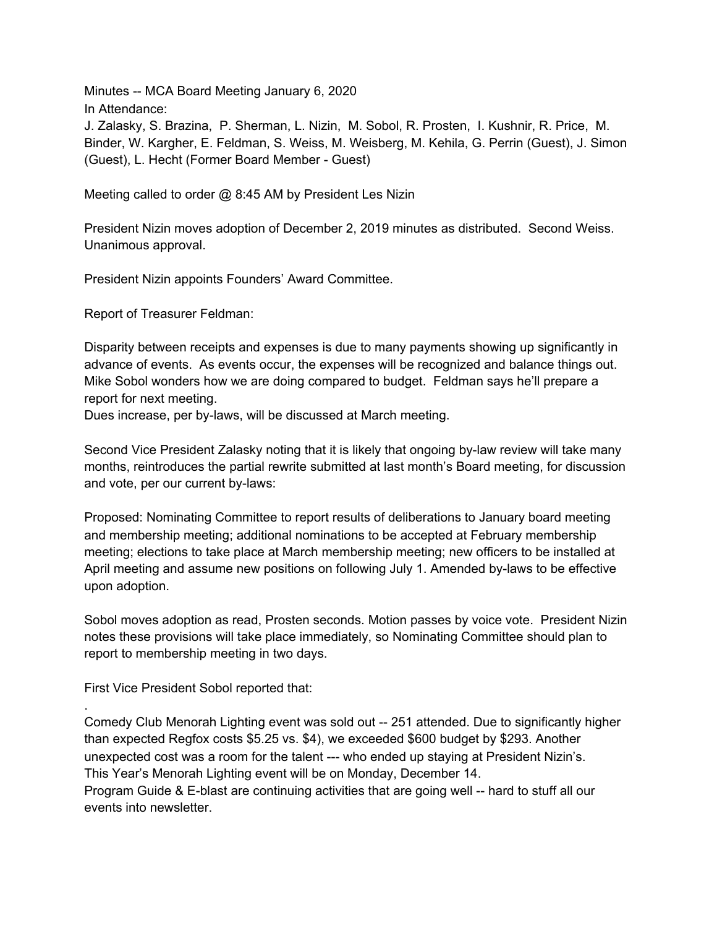Minutes -- MCA Board Meeting January 6, 2020 In Attendance:

J. Zalasky, S. Brazina, P. Sherman, L. Nizin, M. Sobol, R. Prosten, I. Kushnir, R. Price, M. Binder, W. Kargher, E. Feldman, S. Weiss, M. Weisberg, M. Kehila, G. Perrin (Guest), J. Simon (Guest), L. Hecht (Former Board Member - Guest)

Meeting called to order @ 8:45 AM by President Les Nizin

President Nizin moves adoption of December 2, 2019 minutes as distributed. Second Weiss. Unanimous approval.

President Nizin appoints Founders' Award Committee.

Report of Treasurer Feldman:

Disparity between receipts and expenses is due to many payments showing up significantly in advance of events. As events occur, the expenses will be recognized and balance things out. Mike Sobol wonders how we are doing compared to budget. Feldman says he'll prepare a report for next meeting.

Dues increase, per by-laws, will be discussed at March meeting.

Second Vice President Zalasky noting that it is likely that ongoing by-law review will take many months, reintroduces the partial rewrite submitted at last month's Board meeting, for discussion and vote, per our current by-laws:

Proposed: Nominating Committee to report results of deliberations to January board meeting and membership meeting; additional nominations to be accepted at February membership meeting; elections to take place at March membership meeting; new officers to be installed at April meeting and assume new positions on following July 1. Amended by-laws to be effective upon adoption.

Sobol moves adoption as read, Prosten seconds. Motion passes by voice vote. President Nizin notes these provisions will take place immediately, so Nominating Committee should plan to report to membership meeting in two days.

First Vice President Sobol reported that:

.

Comedy Club Menorah Lighting event was sold out -- 251 attended. Due to significantly higher than expected Regfox costs \$5.25 vs. \$4), we exceeded \$600 budget by \$293. Another unexpected cost was a room for the talent --- who ended up staying at President Nizin's. This Year's Menorah Lighting event will be on Monday, December 14. Program Guide & E-blast are continuing activities that are going well -- hard to stuff all our events into newsletter.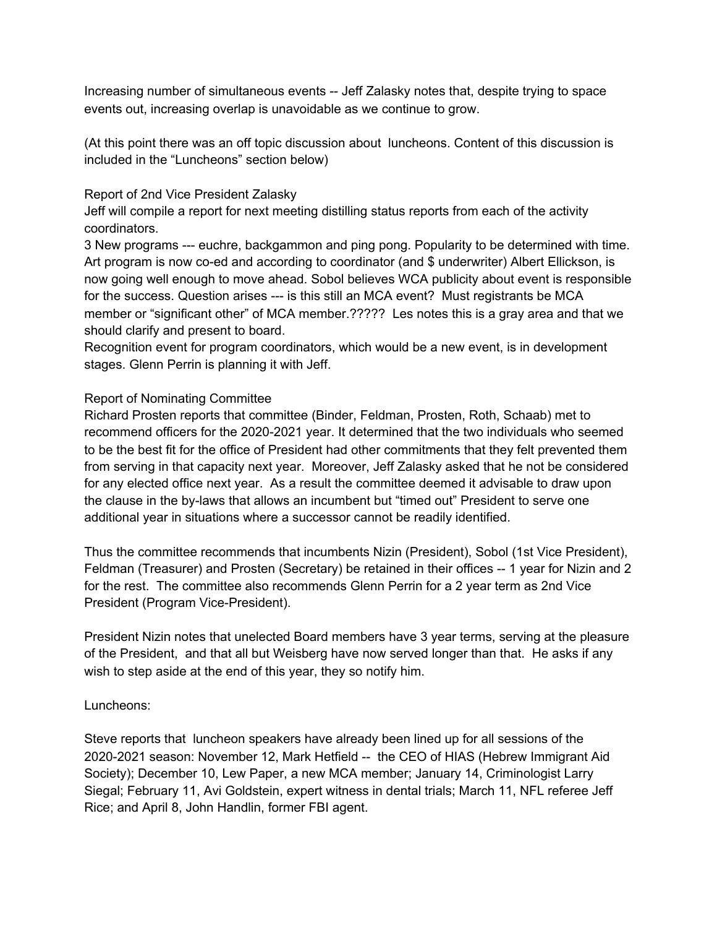Increasing number of simultaneous events -- Jeff Zalasky notes that, despite trying to space events out, increasing overlap is unavoidable as we continue to grow.

(At this point there was an off topic discussion about luncheons. Content of this discussion is included in the "Luncheons" section below)

### Report of 2nd Vice President Zalasky

Jeff will compile a report for next meeting distilling status reports from each of the activity coordinators.

3 New programs --- euchre, backgammon and ping pong. Popularity to be determined with time. Art program is now co-ed and according to coordinator (and \$ underwriter) Albert Ellickson, is now going well enough to move ahead. Sobol believes WCA publicity about event is responsible for the success. Question arises --- is this still an MCA event? Must registrants be MCA member or "significant other" of MCA member.????? Les notes this is a gray area and that we should clarify and present to board.

Recognition event for program coordinators, which would be a new event, is in development stages. Glenn Perrin is planning it with Jeff.

### Report of Nominating Committee

Richard Prosten reports that committee (Binder, Feldman, Prosten, Roth, Schaab) met to recommend officers for the 2020-2021 year. It determined that the two individuals who seemed to be the best fit for the office of President had other commitments that they felt prevented them from serving in that capacity next year. Moreover, Jeff Zalasky asked that he not be considered for any elected office next year. As a result the committee deemed it advisable to draw upon the clause in the by-laws that allows an incumbent but "timed out" President to serve one additional year in situations where a successor cannot be readily identified.

Thus the committee recommends that incumbents Nizin (President), Sobol (1st Vice President), Feldman (Treasurer) and Prosten (Secretary) be retained in their offices -- 1 year for Nizin and 2 for the rest. The committee also recommends Glenn Perrin for a 2 year term as 2nd Vice President (Program Vice-President).

President Nizin notes that unelected Board members have 3 year terms, serving at the pleasure of the President, and that all but Weisberg have now served longer than that. He asks if any wish to step aside at the end of this year, they so notify him.

# Luncheons:

Steve reports that luncheon speakers have already been lined up for all sessions of the 2020-2021 season: November 12, Mark Hetfield -- the CEO of HIAS (Hebrew Immigrant Aid Society); December 10, Lew Paper, a new MCA member; January 14, Criminologist Larry Siegal; February 11, Avi Goldstein, expert witness in dental trials; March 11, NFL referee Jeff Rice; and April 8, John Handlin, former FBI agent.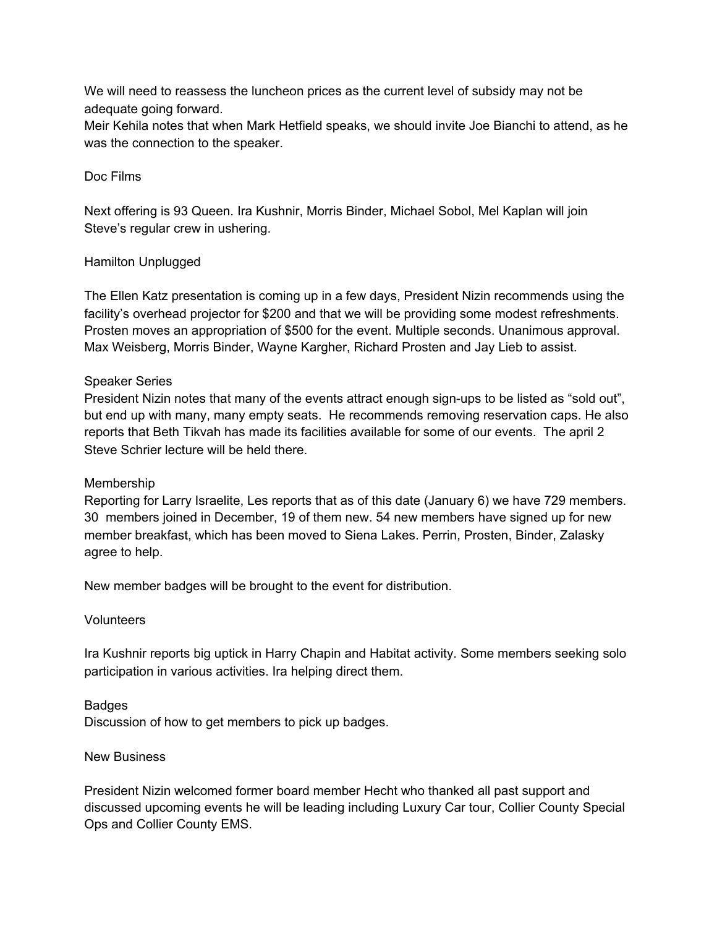We will need to reassess the luncheon prices as the current level of subsidy may not be adequate going forward.

Meir Kehila notes that when Mark Hetfield speaks, we should invite Joe Bianchi to attend, as he was the connection to the speaker.

## Doc Films

Next offering is 93 Queen. Ira Kushnir, Morris Binder, Michael Sobol, Mel Kaplan will join Steve's regular crew in ushering.

### Hamilton Unplugged

The Ellen Katz presentation is coming up in a few days, President Nizin recommends using the facility's overhead projector for \$200 and that we will be providing some modest refreshments. Prosten moves an appropriation of \$500 for the event. Multiple seconds. Unanimous approval. Max Weisberg, Morris Binder, Wayne Kargher, Richard Prosten and Jay Lieb to assist.

### Speaker Series

President Nizin notes that many of the events attract enough sign-ups to be listed as "sold out", but end up with many, many empty seats. He recommends removing reservation caps. He also reports that Beth Tikvah has made its facilities available for some of our events. The april 2 Steve Schrier lecture will be held there.

#### Membership

Reporting for Larry Israelite, Les reports that as of this date (January 6) we have 729 members. 30 members joined in December, 19 of them new. 54 new members have signed up for new member breakfast, which has been moved to Siena Lakes. Perrin, Prosten, Binder, Zalasky agree to help.

New member badges will be brought to the event for distribution.

#### **Volunteers**

Ira Kushnir reports big uptick in Harry Chapin and Habitat activity. Some members seeking solo participation in various activities. Ira helping direct them.

#### Badges

Discussion of how to get members to pick up badges.

#### New Business

President Nizin welcomed former board member Hecht who thanked all past support and discussed upcoming events he will be leading including Luxury Car tour, Collier County Special Ops and Collier County EMS.